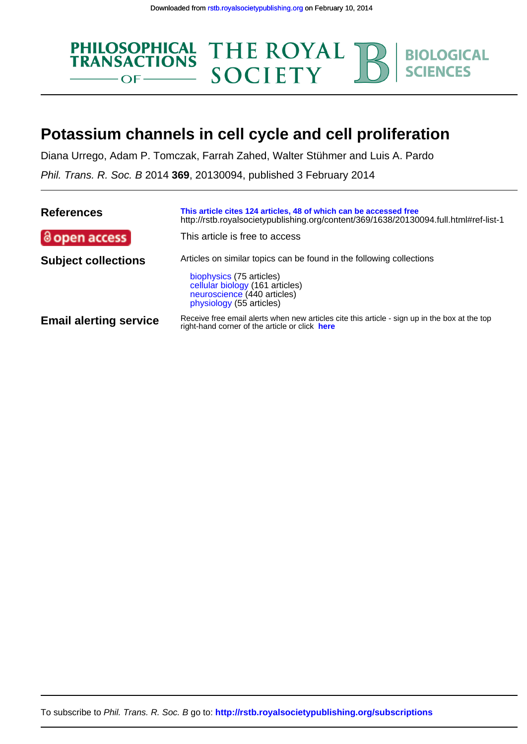

# **Potassium channels in cell cycle and cell proliferation**

Diana Urrego, Adam P. Tomczak, Farrah Zahed, Walter Stühmer and Luis A. Pardo

Phil. Trans. R. Soc. B 2014 **369**, 20130094, published 3 February 2014

| <b>References</b>             | This article cites 124 articles, 48 of which can be accessed free<br>http://rstb.royalsocietypublishing.org/content/369/1638/20130094.full.html#ref-list-1 |
|-------------------------------|------------------------------------------------------------------------------------------------------------------------------------------------------------|
| @ open access                 | This article is free to access                                                                                                                             |
| <b>Subject collections</b>    | Articles on similar topics can be found in the following collections                                                                                       |
|                               | biophysics (75 articles)<br>cellular biology (161 articles)<br>neuroscience (440 articles)<br>physiology (55 articles)                                     |
| <b>Email alerting service</b> | Receive free email alerts when new articles cite this article - sign up in the box at the top<br>right-hand corner of the article or click here            |

To subscribe to Phil. Trans. R. Soc. B go to: **<http://rstb.royalsocietypublishing.org/subscriptions>**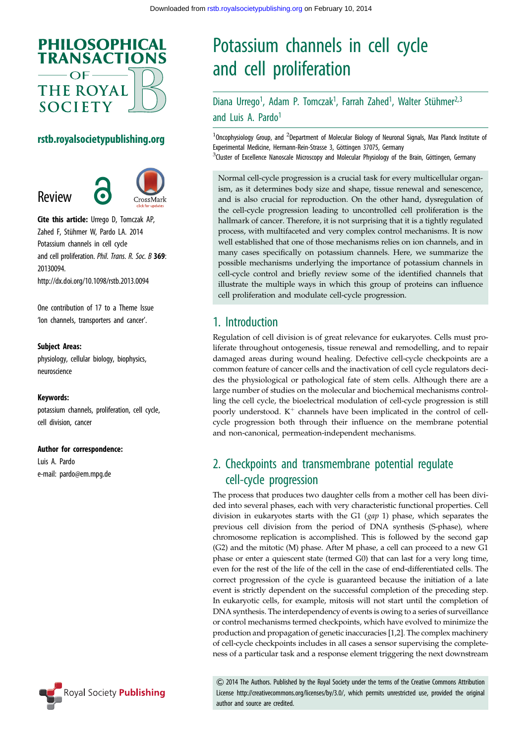

#### rstb.royalsocietypublishing.org

Review



Cite this article: Urrego D, Tomczak AP, Zahed F, Stühmer W, Pardo LA. 2014 Potassium channels in cell cycle and cell proliferation. Phil. Trans. R. Soc. B 369: 20130094. http://dx.doi.org/10.1098/rstb.2013.0094

One contribution of 17 to a Theme Issue 'Ion channels, transporters and cancer'.

#### Subject Areas:

physiology, cellular biology, biophysics, neuroscience

#### Keywords:

potassium channels, proliferation, cell cycle, cell division, cancer

#### Author for correspondence:

Luis A. Pardo e-mail: [pardo@em.mpg.de](mailto:pardo@em.mpg.de)

# Potassium channels in cell cycle and cell proliferation

Diana Urrego<sup>1</sup>, Adam P. Tomczak<sup>1</sup>, Farrah Zahed<sup>1</sup>, Walter Stühmer<sup>2,3</sup> and Luis A. Pardo<sup>1</sup>

 $1$ Oncophysiology Group, and  $2$ Department of Molecular Biology of Neuronal Signals, Max Planck Institute of Experimental Medicine, Hermann-Rein-Strasse 3, Göttingen 37075, Germany <sup>3</sup>Cluster of Excellence Nanoscale Microscopy and Molecular Physiology of the Brain, Göttingen, Germany

Normal cell-cycle progression is a crucial task for every multicellular organism, as it determines body size and shape, tissue renewal and senescence, and is also crucial for reproduction. On the other hand, dysregulation of the cell-cycle progression leading to uncontrolled cell proliferation is the hallmark of cancer. Therefore, it is not surprising that it is a tightly regulated process, with multifaceted and very complex control mechanisms. It is now well established that one of those mechanisms relies on ion channels, and in many cases specifically on potassium channels. Here, we summarize the possible mechanisms underlying the importance of potassium channels in cell-cycle control and briefly review some of the identified channels that illustrate the multiple ways in which this group of proteins can influence cell proliferation and modulate cell-cycle progression.

### 1. Introduction

Regulation of cell division is of great relevance for eukaryotes. Cells must proliferate throughout ontogenesis, tissue renewal and remodelling, and to repair damaged areas during wound healing. Defective cell-cycle checkpoints are a common feature of cancer cells and the inactivation of cell cycle regulators decides the physiological or pathological fate of stem cells. Although there are a large number of studies on the molecular and biochemical mechanisms controlling the cell cycle, the bioelectrical modulation of cell-cycle progression is still poorly understood.  $K^+$  channels have been implicated in the control of cellcycle progression both through their influence on the membrane potential and non-canonical, permeation-independent mechanisms.

# 2. Checkpoints and transmembrane potential regulate cell-cycle progression

The process that produces two daughter cells from a mother cell has been divided into several phases, each with very characteristic functional properties. Cell division in eukaryotes starts with the G1 (gap 1) phase, which separates the previous cell division from the period of DNA synthesis (S-phase), where chromosome replication is accomplished. This is followed by the second gap (G2) and the mitotic (M) phase. After M phase, a cell can proceed to a new G1 phase or enter a quiescent state (termed G0) that can last for a very long time, even for the rest of the life of the cell in the case of end-differentiated cells. The correct progression of the cycle is guaranteed because the initiation of a late event is strictly dependent on the successful completion of the preceding step. In eukaryotic cells, for example, mitosis will not start until the completion of DNA synthesis. The interdependency of events is owing to a series of surveillance or control mechanisms termed checkpoints, which have evolved to minimize the production and propagation of genetic inaccuracies [\[1,2](#page-6-0)]. The complex machinery of cell-cycle checkpoints includes in all cases a sensor supervising the completeness of a particular task and a response element triggering the next downstream



& 2014 The Authors. Published by the Royal Society under the terms of the Creative Commons Attribution License http://creativecommons.org/licenses/by/3.0/, which permits unrestricted use, provided the original author and source are credited.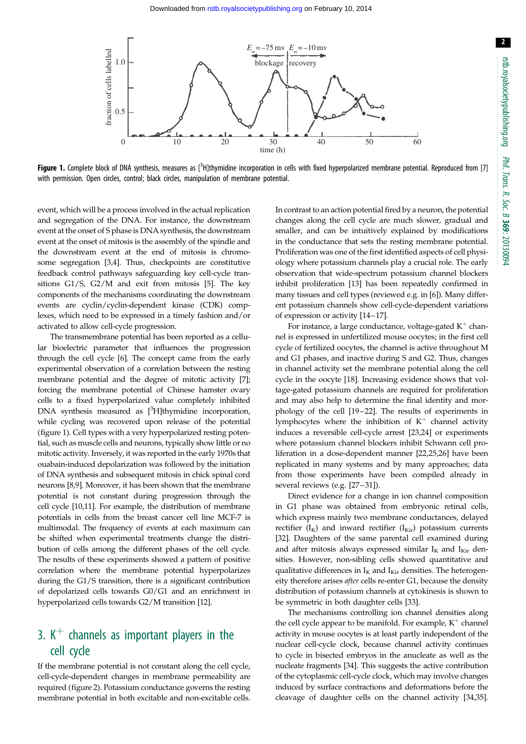

Figure 1. Complete block of DNA synthesis, measures as [<sup>3</sup>H]thymidine incorporation in cells with fixed hyperpolarized membrane potential. Reproduced from [[7](#page-6-0)] with permission. Open circles, control; black circles, manipulation of membrane potential.

event, which will be a process involved in the actual replication and segregation of the DNA. For instance, the downstream event at the onset of S phase is DNA synthesis, the downstream event at the onset of mitosis is the assembly of the spindle and the downstream event at the end of mitosis is chromosome segregation [\[3,4](#page-6-0)]. Thus, checkpoints are constitutive feedback control pathways safeguarding key cell-cycle transitions G1/S, G2/M and exit from mitosis [\[5\]](#page-6-0). The key components of the mechanisms coordinating the downstream events are cyclin/cyclin-dependent kinase (CDK) complexes, which need to be expressed in a timely fashion and/or activated to allow cell-cycle progression.

The transmembrane potential has been reported as a cellular bioelectric parameter that influences the progression through the cell cycle [\[6\]](#page-6-0). The concept came from the early experimental observation of a correlation between the resting membrane potential and the degree of mitotic activity [\[7](#page-6-0)]; forcing the membrane potential of Chinese hamster ovary cells to a fixed hyperpolarized value completely inhibited DNA synthesis measured as [<sup>3</sup>H]thymidine incorporation, while cycling was recovered upon release of the potential (figure 1). Cell types with a very hyperpolarized resting potential, such as muscle cells and neurons, typically show little or no mitotic activity. Inversely, it was reported in the early 1970s that ouabain-induced depolarization was followed by the initiation of DNA synthesis and subsequent mitosis in chick spinal cord neurons [[8,9\]](#page-6-0). Moreover, it has been shown that the membrane potential is not constant during progression through the cell cycle [\[10,11](#page-6-0)]. For example, the distribution of membrane potentials in cells from the breast cancer cell line MCF-7 is multimodal. The frequency of events at each maximum can be shifted when experimental treatments change the distribution of cells among the different phases of the cell cycle. The results of these experiments showed a pattern of positive correlation where the membrane potential hyperpolarizes during the G1/S transition, there is a significant contribution of depolarized cells towards G0/G1 and an enrichment in hyperpolarized cells towards G2/M transition [\[12](#page-6-0)].

# 3.  $K^+$  channels as important players in the cell cycle

If the membrane potential is not constant along the cell cycle, cell-cycle-dependent changes in membrane permeability are required [\(figure 2](#page-3-0)). Potassium conductance governs the resting membrane potential in both excitable and non-excitable cells.

In contrast to an action potential fired by a neuron, the potential changes along the cell cycle are much slower, gradual and smaller, and can be intuitively explained by modifications in the conductance that sets the resting membrane potential. Proliferation was one of the first identified aspects of cell physiology where potassium channels play a crucial role. The early observation that wide-spectrum potassium channel blockers inhibit proliferation [[13](#page-6-0)] has been repeatedly confirmed in many tissues and cell types (reviewed e.g. in [\[6\]](#page-6-0)). Many different potassium channels show cell-cycle-dependent variations of expression or activity [\[14](#page-6-0)–[17](#page-6-0)].

For instance, a large conductance, voltage-gated  $K^+$  channel is expressed in unfertilized mouse oocytes; in the first cell cycle of fertilized oocytes, the channel is active throughout M and G1 phases, and inactive during S and G2. Thus, changes in channel activity set the membrane potential along the cell cycle in the oocyte [[18\]](#page-6-0). Increasing evidence shows that voltage-gated potassium channels are required for proliferation and may also help to determine the final identity and morphology of the cell [[19](#page-6-0) –[22](#page-6-0)]. The results of experiments in lymphocytes where the inhibition of  $K^+$  channel activity induces a reversible cell-cycle arrest [[23](#page-6-0),[24\]](#page-6-0) or experiments where potassium channel blockers inhibit Schwann cell proliferation in a dose-dependent manner [[22,25,26](#page-6-0)] have been replicated in many systems and by many approaches; data from those experiments have been compiled already in several reviews (e.g. [[27](#page-6-0)-[31](#page-7-0)]).

Direct evidence for a change in ion channel composition in G1 phase was obtained from embryonic retinal cells, which express mainly two membrane conductances, delayed rectifier  $(I_K)$  and inward rectifier  $(I_{Kir})$  potassium currents [[32\]](#page-7-0). Daughters of the same parental cell examined during and after mitosis always expressed similar  $I_K$  and  $I_{Kir}$  densities. However, non-sibling cells showed quantitative and qualitative differences in  $I_K$  and  $I_{Kir}$  densities. The heterogeneity therefore arises after cells re-enter G1, because the density distribution of potassium channels at cytokinesis is shown to be symmetric in both daughter cells [\[33](#page-7-0)].

The mechanisms controlling ion channel densities along the cell cycle appear to be manifold. For example,  $K^+$  channel activity in mouse oocytes is at least partly independent of the nuclear cell-cycle clock, because channel activity continues to cycle in bisected embryos in the anucleate as well as the nucleate fragments [[34\]](#page-7-0). This suggests the active contribution of the cytoplasmic cell-cycle clock, which may involve changes induced by surface contractions and deformations before the cleavage of daughter cells on the channel activity [[34,35\]](#page-7-0).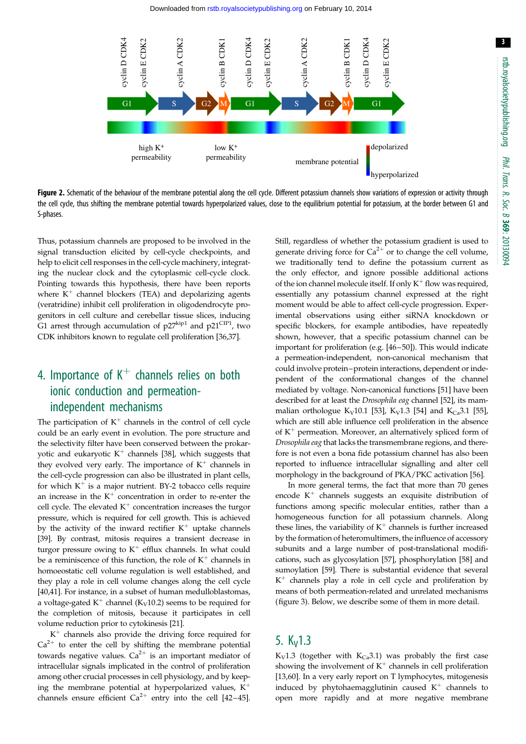3

<span id="page-3-0"></span>

Figure 2. Schematic of the behaviour of the membrane potential along the cell cycle. Different potassium channels show variations of expression or activity through the cell cycle, thus shifting the membrane potential towards hyperpolarized values, close to the equilibrium potential for potassium, at the border between G1 and S-phases.

Thus, potassium channels are proposed to be involved in the signal transduction elicited by cell-cycle checkpoints, and help to elicit cell responses in the cell-cycle machinery, integrating the nuclear clock and the cytoplasmic cell-cycle clock. Pointing towards this hypothesis, there have been reports where  $K^+$  channel blockers (TEA) and depolarizing agents (veratridine) inhibit cell proliferation in oligodendrocyte progenitors in cell culture and cerebellar tissue slices, inducing G1 arrest through accumulation of  $p27^{kip1}$  and  $p21^{CIP1}$ , two CDK inhibitors known to regulate cell proliferation [[36](#page-7-0),[37](#page-7-0)].

# 4. Importance of  $K^+$  channels relies on both ionic conduction and permeationindependent mechanisms

The participation of  $K^+$  channels in the control of cell cycle could be an early event in evolution. The pore structure and the selectivity filter have been conserved between the prokaryotic and eukaryotic  $K^+$  channels [[38](#page-7-0)], which suggests that they evolved very early. The importance of  $K^+$  channels in the cell-cycle progression can also be illustrated in plant cells, for which  $K^+$  is a major nutrient. BY-2 tobacco cells require an increase in the  $K^+$  concentration in order to re-enter the cell cycle. The elevated  $K^+$  concentration increases the turgor pressure, which is required for cell growth. This is achieved by the activity of the inward rectifier  $K^+$  uptake channels [\[39](#page-7-0)]. By contrast, mitosis requires a transient decrease in turgor pressure owing to  $K^+$  efflux channels. In what could be a reminiscence of this function, the role of  $K^+$  channels in homoeostatic cell volume regulation is well established, and they play a role in cell volume changes along the cell cycle [\[40,41](#page-7-0)]. For instance, in a subset of human medulloblastomas, a voltage-gated  $K^+$  channel (K<sub>V</sub>10.2) seems to be required for the completion of mitosis, because it participates in cell volume reduction prior to cytokinesis [[21\]](#page-6-0).

 $K^+$  channels also provide the driving force required for  $Ca<sup>2+</sup>$  to enter the cell by shifting the membrane potential towards negative values.  $Ca^{2+}$  is an important mediator of intracellular signals implicated in the control of proliferation among other crucial processes in cell physiology, and by keeping the membrane potential at hyperpolarized values,  $K^+$ channels ensure efficient  $Ca^{2+}$  entry into the cell [\[42](#page-7-0)–[45](#page-7-0)].

Still, regardless of whether the potassium gradient is used to generate driving force for  $Ca^{2+}$  or to change the cell volume, we traditionally tend to define the potassium current as the only effector, and ignore possible additional actions of the ion channel molecule itself. If only  $K^+$  flow was required, essentially any potassium channel expressed at the right moment would be able to affect cell-cycle progression. Experimental observations using either siRNA knockdown or specific blockers, for example antibodies, have repeatedly shown, however, that a specific potassium channel can be important for proliferation (e.g. [\[46](#page-7-0)–[50](#page-7-0)]). This would indicate a permeation-independent, non-canonical mechanism that could involve protein–protein interactions, dependent or independent of the conformational changes of the channel mediated by voltage. Non-canonical functions [[51\]](#page-7-0) have been described for at least the Drosophila eag channel [[52](#page-7-0)], its mam-malian orthologue K<sub>V</sub>10.1 [[53](#page-7-0)], K<sub>V</sub>1.3 [\[54](#page-7-0)] and K<sub>Ca</sub>3.1 [[55\]](#page-7-0), which are still able influence cell proliferation in the absence of  $K^+$  permeation. Moreover, an alternatively spliced form of Drosophila eag that lacks the transmembrane regions, and therefore is not even a bona fide potassium channel has also been reported to influence intracellular signalling and alter cell morphology in the background of PKA/PKC activation [\[56](#page-7-0)].

In more general terms, the fact that more than 70 genes encode  $K^+$  channels suggests an exquisite distribution of functions among specific molecular entities, rather than a homogeneous function for all potassium channels. Along these lines, the variability of  $K^+$  channels is further increased by the formation of heteromultimers, the influence of accessory subunits and a large number of post-translational modifications, such as glycosylation [[57\]](#page-7-0), phosphorylation [[58\]](#page-7-0) and sumoylation [\[59](#page-7-0)]. There is substantial evidence that several  $K^+$  channels play a role in cell cycle and proliferation by means of both permeation-related and unrelated mechanisms ([figure 3](#page-4-0)). Below, we describe some of them in more detail.

## 5.  $K_v$ 1.3

K<sub>V</sub>1.3 (together with K<sub>Ca</sub>3.1) was probably the first case showing the involvement of  $K^+$  channels in cell proliferation [[13,](#page-6-0)[60\]](#page-7-0). In a very early report on T lymphocytes, mitogenesis induced by phytohaemagglutinin caused  $K^+$  channels to open more rapidly and at more negative membrane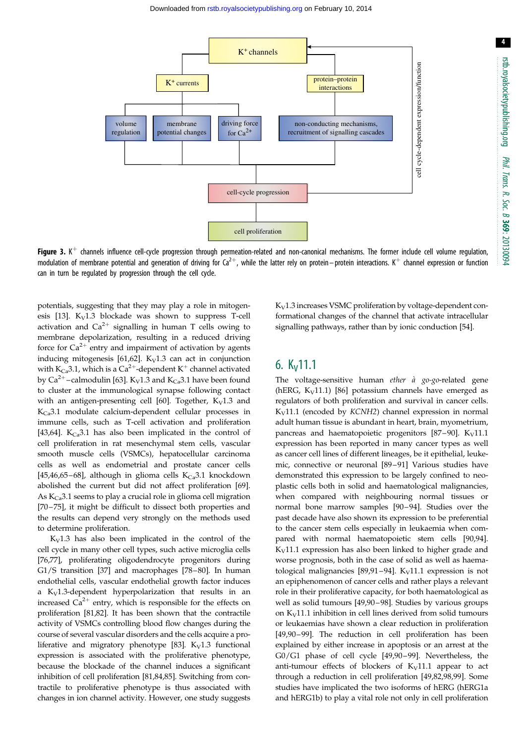4

<span id="page-4-0"></span>

Figure 3. K<sup>+</sup> channels influence cell-cycle progression through permeation-related and non-canonical mechanisms. The former include cell volume regulation, modulation of membrane potential and generation of driving for Ca<sup>2+</sup>, while the latter rely on protein–protein interactions. K<sup>+</sup> channel expression or function can in turn be regulated by progression through the cell cycle.

potentials, suggesting that they may play a role in mitogen-esis [\[13](#page-6-0)].  $K_V1.3$  blockade was shown to suppress T-cell activation and  $Ca^{2+}$  signalling in human T cells owing to membrane depolarization, resulting in a reduced driving force for  $Ca^{2+}$  entry and impairment of activation by agents inducing mitogenesis [[61,62](#page-7-0)].  $K_V1.3$  can act in conjunction with  $K_{\text{Ca}}$ 3.1, which is a Ca<sup>2+</sup>-dependent K<sup>+</sup> channel activated by  $Ca^{2+}$ –calmodulin [[63\]](#page-7-0). K<sub>V</sub>1.3 and K<sub>Ca</sub>3.1 have been found to cluster at the immunological synapse following contact with an antigen-presenting cell [[60\]](#page-7-0). Together,  $K_V1.3$  and  $K_{Ca}$ 3.1 modulate calcium-dependent cellular processes in immune cells, such as T-cell activation and proliferation [\[43](#page-7-0),[64\]](#page-7-0).  $K_{Ca}$ 3.1 has also been implicated in the control of cell proliferation in rat mesenchymal stem cells, vascular smooth muscle cells (VSMCs), hepatocellular carcinoma cells as well as endometrial and prostate cancer cells [\[45](#page-7-0),[46,65](#page-7-0)–[68](#page-8-0)], although in glioma cells  $K_{Ca}$ 3.1 knockdown abolished the current but did not affect proliferation [\[69](#page-8-0)]. As  $K_{Ca}$ 3.1 seems to play a crucial role in glioma cell migration [\[70](#page-8-0) –[75\]](#page-8-0), it might be difficult to dissect both properties and the results can depend very strongly on the methods used to determine proliferation.

 $K_V1.3$  has also been implicated in the control of the cell cycle in many other cell types, such active microglia cells [\[76,77](#page-8-0)], proliferating oligodendrocyte progenitors during G1/S transition [\[37](#page-7-0)] and macrophages [[78](#page-8-0)–[80](#page-8-0)]. In human endothelial cells, vascular endothelial growth factor induces a  $K_V1.3$ -dependent hyperpolarization that results in an increased  $Ca^{2+}$  entry, which is responsible for the effects on proliferation [[81,82\]](#page-8-0). It has been shown that the contractile activity of VSMCs controlling blood flow changes during the course of several vascular disorders and the cells acquire a pro-liferative and migratory phenotype [[83\]](#page-8-0).  $K_V1.3$  functional expression is associated with the proliferative phenotype, because the blockade of the channel induces a significant inhibition of cell proliferation [\[81,84,85](#page-8-0)]. Switching from contractile to proliferative phenotype is thus associated with changes in ion channel activity. However, one study suggests

 $K_V$ 1.3 increases VSMC proliferation by voltage-dependent conformational changes of the channel that activate intracellular signalling pathways, rather than by ionic conduction [\[54\]](#page-7-0).

## 6.  $K_v$ 11.1

The voltage-sensitive human ether  $\hat{a}$  go-go-related gene (hERG,  $K_V$ 11.1) [\[86](#page-8-0)] potassium channels have emerged as regulators of both proliferation and survival in cancer cells.  $K_V$ 11.1 (encoded by  $KCMH2$ ) channel expression in normal adult human tissue is abundant in heart, brain, myometrium, pancreas and haematopoietic progenitors  $[87-90]$  $[87-90]$  $[87-90]$  $[87-90]$  $[87-90]$ . K<sub>V</sub>11.1 expression has been reported in many cancer types as well as cancer cell lines of different lineages, be it epithelial, leukemic, connective or neuronal [[89](#page-8-0) –[91](#page-8-0)] Various studies have demonstrated this expression to be largely confined to neoplastic cells both in solid and haematological malignancies, when compared with neighbouring normal tissues or normal bone marrow samples [\[90](#page-8-0) –[94](#page-8-0)]. Studies over the past decade have also shown its expression to be preferential to the cancer stem cells especially in leukaemia when compared with normal haematopoietic stem cells [\[90](#page-8-0),[94\]](#page-8-0).  $K_V$ 11.1 expression has also been linked to higher grade and worse prognosis, both in the case of solid as well as haema-tological malignancies [\[89,91](#page-8-0)-[94\]](#page-8-0).  $K_V$ 11.1 expression is not an epiphenomenon of cancer cells and rather plays a relevant role in their proliferative capacity, for both haematological as well as solid tumours [\[49](#page-7-0)[,90](#page-8-0) –[98\]](#page-8-0). Studies by various groups on  $K_V$ 11.1 inhibition in cell lines derived from solid tumours or leukaemias have shown a clear reduction in proliferation [[49,](#page-7-0)[90](#page-8-0)-[99](#page-8-0)]. The reduction in cell proliferation has been explained by either increase in apoptosis or an arrest at the G0/G1 phase of cell cycle [\[49](#page-7-0),[90](#page-8-0)-[99\]](#page-8-0). Nevertheless, the anti-tumour effects of blockers of  $K_V11.1$  appear to act through a reduction in cell proliferation [[49,](#page-7-0)[82,98,99](#page-8-0)]. Some studies have implicated the two isoforms of hERG (hERG1a and hERG1b) to play a vital role not only in cell proliferation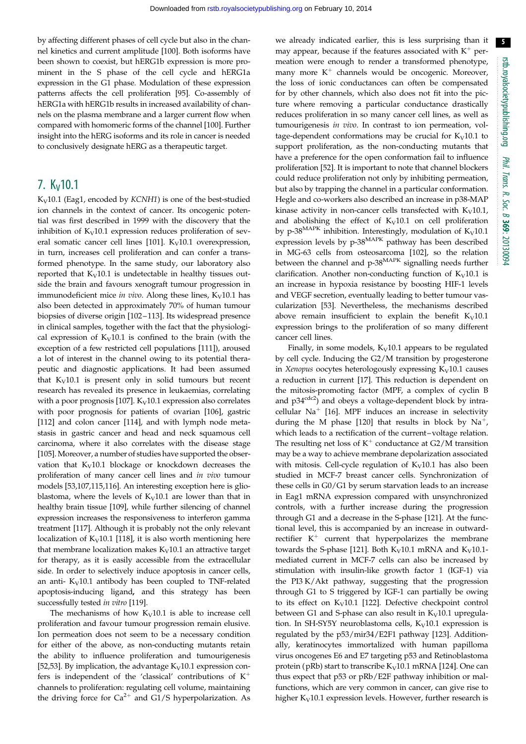by affecting different phases of cell cycle but also in the channel kinetics and current amplitude [\[100\]](#page-8-0). Both isoforms have been shown to coexist, but hERG1b expression is more prominent in the S phase of the cell cycle and hERG1a expression in the G1 phase. Modulation of these expression patterns affects the cell proliferation [\[95](#page-8-0)]. Co-assembly of hERG1a with hERG1b results in increased availability of channels on the plasma membrane and a larger current flow when compared with homomeric forms of the channel [[100](#page-8-0)]. Further insight into the hERG isoforms and its role in cancer is needed to conclusively designate hERG as a therapeutic target.

### $7. K<sub>V</sub>$ 10.1

 $K_V$ 10.1 (Eag1, encoded by  $KCNH1$ ) is one of the best-studied ion channels in the context of cancer. Its oncogenic potential was first described in 1999 with the discovery that the inhibition of  $K_V10.1$  expression reduces proliferation of sev-eral somatic cancer cell lines [\[101\]](#page-8-0).  $K_V$ 10.1 overexpression, in turn, increases cell proliferation and can confer a transformed phenotype. In the same study, our laboratory also reported that  $K_V10.1$  is undetectable in healthy tissues outside the brain and favours xenograft tumour progression in immunodeficient mice in vivo. Along these lines,  $K_V10.1$  has also been detected in approximately 70% of human tumour biopsies of diverse origin [\[102](#page-8-0)-[113\]](#page-9-0). Its widespread presence in clinical samples, together with the fact that the physiological expression of  $K_V10.1$  is confined to the brain (with the exception of a few restricted cell populations [\[111\]](#page-9-0)), aroused a lot of interest in the channel owing to its potential therapeutic and diagnostic applications. It had been assumed that  $K_V10.1$  is present only in solid tumours but recent research has revealed its presence in leukaemias, correlating with a poor prognosis [\[107\]](#page-9-0).  $K_V$ 10.1 expression also correlates with poor prognosis for patients of ovarian [\[106\]](#page-9-0), gastric [\[112\]](#page-9-0) and colon cancer [[114](#page-9-0)], and with lymph node metastasis in gastric cancer and head and neck squamous cell carcinoma, where it also correlates with the disease stage [\[105\]](#page-8-0). Moreover, a number of studies have supported the observation that  $K_V10.1$  blockage or knockdown decreases the proliferation of many cancer cell lines and in vivo tumour models [\[53](#page-7-0),[107,115](#page-9-0),[116](#page-9-0)]. An interesting exception here is glioblastoma, where the levels of  $K_V10.1$  are lower than that in healthy brain tissue [\[109](#page-9-0)], while further silencing of channel expression increases the responsiveness to interferon gamma treatment [[117](#page-9-0)]. Although it is probably not the only relevant localization of  $K_V10.1$  [\[118](#page-9-0)], it is also worth mentioning here that membrane localization makes  $K_V10.1$  an attractive target for therapy, as it is easily accessible from the extracellular side. In order to selectively induce apoptosis in cancer cells, an anti-  $K_V10.1$  antibody has been coupled to TNF-related apoptosis-inducing ligand, and this strategy has been successfully tested in vitro [[119](#page-9-0)].

The mechanisms of how  $K_V10.1$  is able to increase cell proliferation and favour tumour progression remain elusive. Ion permeation does not seem to be a necessary condition for either of the above, as non-conducting mutants retain the ability to influence proliferation and tumourigenesis [\[52](#page-7-0),[53\]](#page-7-0). By implication, the advantage  $K_V$ 10.1 expression confers is independent of the 'classical' contributions of  $K^+$ channels to proliferation: regulating cell volume, maintaining the driving force for  $Ca^{2+}$  and G1/S hyperpolarization. As

we already indicated earlier, this is less surprising than it may appear, because if the features associated with  $K^+$  permeation were enough to render a transformed phenotype, many more  $K^+$  channels would be oncogenic. Moreover, the loss of ionic conductances can often be compensated for by other channels, which also does not fit into the picture where removing a particular conductance drastically reduces proliferation in so many cancer cell lines, as well as tumourigenesis in vivo. In contrast to ion permeation, voltage-dependent conformations may be crucial for  $K_V10.1$  to support proliferation, as the non-conducting mutants that have a preference for the open conformation fail to influence proliferation [[52\]](#page-7-0). It is important to note that channel blockers could reduce proliferation not only by inhibiting permeation, but also by trapping the channel in a particular conformation. Hegle and co-workers also described an increase in p38-MAP kinase activity in non-cancer cells transfected with  $K_V10.1$ , and abolishing the effect of  $K_V10.1$  on cell proliferation by p-38<sup>MAPK</sup> inhibition. Interestingly, modulation of  $K_V$ 10.1 expression levels by p-38<sup>MAPK</sup> pathway has been described in MG-63 cells from osteosarcoma [[102](#page-8-0)], so the relation between the channel and p-38MAPK signalling needs further clarification. Another non-conducting function of  $K_V10.1$  is an increase in hypoxia resistance by boosting HIF-1 levels and VEGF secretion, eventually leading to better tumour vascularization [\[53](#page-7-0)]. Nevertheless, the mechanisms described above remain insufficient to explain the benefit  $K_V$ 10.1 expression brings to the proliferation of so many different cancer cell lines.

Finally, in some models,  $K_V10.1$  appears to be regulated by cell cycle. Inducing the G2/M transition by progesterone in Xenopus oocytes heterologously expressing  $K_V$ 10.1 causes a reduction in current [[17\]](#page-6-0). This reduction is dependent on the mitosis-promoting factor (MPF, a complex of cyclin B and  $p34^{cdc2}$ ) and obeys a voltage-dependent block by intracellular  $Na<sup>+</sup>$  [[16\]](#page-6-0). MPF induces an increase in selectivity during the M phase [[120](#page-9-0)] that results in block by  $Na^+$ , which leads to a rectification of the current–voltage relation. The resulting net loss of  $K^+$  conductance at G2/M transition may be a way to achieve membrane depolarization associated with mitosis. Cell-cycle regulation of  $K_V10.1$  has also been studied in MCF-7 breast cancer cells. Synchronization of these cells in G0/G1 by serum starvation leads to an increase in Eag1 mRNA expression compared with unsynchronized controls, with a further increase during the progression through G1 and a decrease in the S-phase [\[121\]](#page-9-0). At the functional level, this is accompanied by an increase in outwardrectifier  $K^+$  current that hyperpolarizes the membrane towards the S-phase [\[121\]](#page-9-0). Both  $K_V10.1$  mRNA and  $K_V10.1$ mediated current in MCF-7 cells can also be increased by stimulation with insulin-like growth factor 1 (IGF-1) via the PI3 K/Akt pathway, suggesting that the progression through G1 to S triggered by IGF-1 can partially be owing to its effect on  $K_V10.1$  [[122](#page-9-0)]. Defective checkpoint control between G1 and S-phase can also result in  $K_V10.1$  upregulation. In SH-SY5Y neuroblastoma cells,  $K_V10.1$  expression is regulated by the p53/mir34/E2F1 pathway [\[123\]](#page-9-0). Additionally, keratinocytes immortalized with human papilloma virus oncogenes E6 and E7 targeting p53 and Retinoblastoma protein (pRb) start to transcribe  $K_V$ 10.1 mRNA [[124](#page-9-0)]. One can thus expect that p53 or pRb/E2F pathway inhibition or malfunctions, which are very common in cancer, can give rise to higher  $K_V10.1$  expression levels. However, further research is

5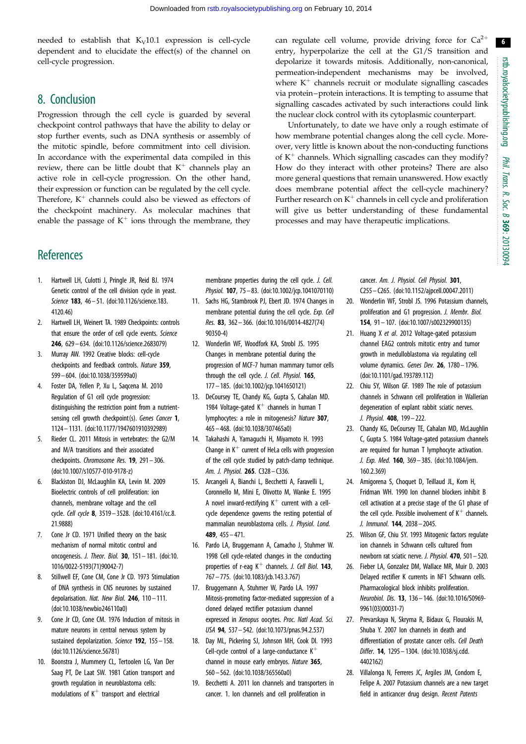6

<span id="page-6-0"></span>needed to establish that  $K_V10.1$  expression is cell-cycle dependent and to elucidate the effect(s) of the channel on cell-cycle progression.

### 8. Conclusion

Progression through the cell cycle is guarded by several checkpoint control pathways that have the ability to delay or stop further events, such as DNA synthesis or assembly of the mitotic spindle, before commitment into cell division. In accordance with the experimental data compiled in this review, there can be little doubt that  $K^+$  channels play an active role in cell-cycle progression. On the other hand, their expression or function can be regulated by the cell cycle. Therefore,  $K^+$  channels could also be viewed as effectors of the checkpoint machinery. As molecular machines that enable the passage of  $K^+$  ions through the membrane, they

**References** 

- 1. Hartwell LH, Culotti J, Pringle JR, Reid BJ. 1974 Genetic control of the cell division cycle in yeast. Science 183, 46 – 51. ([doi:10.1126/science.183.](http://dx.doi.org/10.1126/science.183.4120.46) [4120.46](http://dx.doi.org/10.1126/science.183.4120.46))
- 2. Hartwell LH, Weinert TA. 1989 Checkpoints: controls that ensure the order of cell cycle events. Science 246, 629– 634. [\(doi:10.1126/science.2683079\)](http://dx.doi.org/10.1126/science.2683079)
- 3. Murray AW. 1992 Creative blocks: cell-cycle checkpoints and feedback controls. Nature 359, 599– 604. ([doi:10.1038/359599a0\)](http://dx.doi.org/10.1038/359599a0)
- 4. Foster DA, Yellen P, Xu L, Saqcena M. 2010 Regulation of G1 cell cycle progression: distinguishing the restriction point from a nutrientsensing cell growth checkpoint(s). Genes Cancer 1, 1124 – 1131. [\(doi:10.1177/1947601910392989\)](http://dx.doi.org/10.1177/1947601910392989)
- 5. Rieder CL. 2011 Mitosis in vertebrates: the G2/M and M/A transitions and their associated checkpoints. Chromosome Res. 19, 291– 306. [\(doi:10.1007/s10577-010-9178-z](http://dx.doi.org/10.1007/s10577-010-9178-z))
- 6. Blackiston DJ, McLaughlin KA, Levin M. 2009 Bioelectric controls of cell proliferation: ion channels, membrane voltage and the cell cycle. Cell cycle 8, 3519 – 3528. [\(doi:10.4161/cc.8.](http://dx.doi.org/10.4161/cc.8.21.9888) [21.9888](http://dx.doi.org/10.4161/cc.8.21.9888))
- 7. Cone Jr CD. 1971 Unified theory on the basic mechanism of normal mitotic control and oncogenesis. J. Theor. Biol. 30, 151– 181. ([doi:10.](http://dx.doi.org/10.1016/0022-5193(71)90042-7) [1016/0022-5193\(71\)90042-7](http://dx.doi.org/10.1016/0022-5193(71)90042-7))
- 8. Stillwell EF, Cone CM, Cone Jr CD. 1973 Stimulation of DNA synthesis in CNS neurones by sustained depolarisation. Nat. New Biol. 246, 110-111. [\(doi:10.1038/newbio246110a0\)](http://dx.doi.org/10.1038/newbio246110a0)
- 9. Cone Jr CD, Cone CM. 1976 Induction of mitosis in mature neurons in central nervous system by sustained depolarization. Science 192, 155 - 158. [\(doi:10.1126/science.56781\)](http://dx.doi.org/10.1126/science.56781)
- 10. Boonstra J, Mummery CL, Tertoolen LG, Van Der Saag PT, De Laat SW. 1981 Cation transport and growth regulation in neuroblastoma cells: modulations of  $K^+$  transport and electrical

membrane properties during the cell cycle. J. Cell. Physiol. **107**, 75 – 83. ([doi:10.1002/jcp.1041070110\)](http://dx.doi.org/10.1002/jcp.1041070110)

- 11. Sachs HG, Stambrook PJ, Ebert JD. 1974 Changes in membrane potential during the cell cycle. Exp. Cell Res. 83, 362– 366. [\(doi:10.1016/0014-4827\(74\)](http://dx.doi.org/10.1016/0014-4827(74)90350-4) [90350-4\)](http://dx.doi.org/10.1016/0014-4827(74)90350-4)
- 12. Wonderlin WF, Woodfork KA, Strobl JS. 1995 Changes in membrane potential during the progression of MCF-7 human mammary tumor cells through the cell cycle. J. Cell. Physiol. 165, 177 – 185. [\(doi:10.1002/jcp.1041650121](http://dx.doi.org/10.1002/jcp.1041650121))
- 13. DeCoursey TE, Chandy KG, Gupta S, Cahalan MD. 1984 Voltage-gated  $K^+$  channels in human T lymphocytes: a role in mitogenesis? Nature 307, 465 – 468. [\(doi:10.1038/307465a0\)](http://dx.doi.org/10.1038/307465a0)
- 14. Takahashi A, Yamaguchi H, Miyamoto H. 1993 Change in  $K^+$  current of HeLa cells with progression of the cell cycle studied by patch-clamp technique. Am. J. Physiol. 265. C328– C336.
- 15. Arcangeli A, Bianchi L, Becchetti A, Faravelli L, Coronnello M, Mini E, Olivotto M, Wanke E. 1995 A novel inward-rectifying  $K^+$  current with a cellcycle dependence governs the resting potential of mammalian neuroblastoma cells. J. Physiol. Lond. 489, 455 – 471.
- 16. Pardo LA, Bruggemann A, Camacho J, Stuhmer W. 1998 Cell cycle-related changes in the conducting properties of r-eag  $K^+$  channels. J. Cell Biol. 143, 767 – 775. [\(doi:10.1083/jcb.143.3.767](http://dx.doi.org/10.1083/jcb.143.3.767))
- 17. Bruggemann A, Stuhmer W, Pardo LA. 1997 Mitosis-promoting factor-mediated suppression of a cloned delayed rectifier potassium channel expressed in Xenopus oocytes. Proc. Natl Acad. Sci. USA 94, 537 – 542. [\(doi:10.1073/pnas.94.2.537\)](http://dx.doi.org/10.1073/pnas.94.2.537)
- 18. Day ML, Pickering SJ, Johnson MH, Cook DI. 1993 Cell-cycle control of a large-conductance  $K^+$ channel in mouse early embryos. Nature 365, 560 – 562. [\(doi:10.1038/365560a0\)](http://dx.doi.org/10.1038/365560a0)
- 19. Becchetti A. 2011 Ion channels and transporters in cancer. 1. Ion channels and cell proliferation in

can regulate cell volume, provide driving force for  $Ca^{2+}$ entry, hyperpolarize the cell at the G1/S transition and depolarize it towards mitosis. Additionally, non-canonical, permeation-independent mechanisms may be involved, where  $K^+$  channels recruit or modulate signalling cascades via protein–protein interactions. It is tempting to assume that signalling cascades activated by such interactions could link the nuclear clock control with its cytoplasmic counterpart.

Unfortunately, to date we have only a rough estimate of how membrane potential changes along the cell cycle. Moreover, very little is known about the non-conducting functions of  $K^+$  channels. Which signalling cascades can they modify? How do they interact with other proteins? There are also more general questions that remain unanswered. How exactly does membrane potential affect the cell-cycle machinery? Further research on  $K^+$  channels in cell cycle and proliferation will give us better understanding of these fundamental processes and may have therapeutic implications.

> cancer. Am. J. Physiol. Cell Physiol. 301, C255– C265. ([doi:10.1152/ajpcell.00047.2011\)](http://dx.doi.org/10.1152/ajpcell.00047.2011)

- 20. Wonderlin WF, Strobl JS. 1996 Potassium channels, proliferation and G1 progression. J. Membr. Biol. 154, 91– 107. ([doi:10.1007/s002329900135](http://dx.doi.org/10.1007/s002329900135))
- 21. Huang X et al. 2012 Voltage-gated potassium channel EAG2 controls mitotic entry and tumor growth in medulloblastoma via regulating cell volume dynamics. Genes Dev. 26, 1780 - 1796. ([doi:10.1101/gad.193789.112\)](http://dx.doi.org/10.1101/gad.193789.112)
- 22. Chiu SY, Wilson GF. 1989 The role of potassium channels in Schwann cell proliferation in Wallerian degeneration of explant rabbit sciatic nerves. J. Physiol. 408, 199– 222.
- 23. Chandy KG, DeCoursey TE, Cahalan MD, McLaughlin C, Gupta S. 1984 Voltage-gated potassium channels are required for human T lymphocyte activation. J. Exp. Med. 160, 369– 385. [\(doi:10.1084/jem.](http://dx.doi.org/10.1084/jem.160.2.369) [160.2.369\)](http://dx.doi.org/10.1084/jem.160.2.369)
- 24. Amigorena S, Choquet D, Teillaud JL, Korn H, Fridman WH. 1990 Ion channel blockers inhibit B cell activation at a precise stage of the G1 phase of the cell cycle. Possible involvement of  $K^+$  channels. J. Immunol. 144, 2038 – 2045.
- 25. Wilson GF, Chiu SY. 1993 Mitogenic factors regulate ion channels in Schwann cells cultured from newborn rat sciatic nerve. J. Physiol. 470, 501 – 520.
- 26. Fieber LA, Gonzalez DM, Wallace MR, Muir D. 2003 Delayed rectifier K currents in NF1 Schwann cells. Pharmacological block inhibits proliferation. Neurobiol. Dis. 13, 136– 146. [\(doi:10.1016/S0969-](http://dx.doi.org/10.1016/S0969-9961(03)00031-7) [9961\(03\)00031-7](http://dx.doi.org/10.1016/S0969-9961(03)00031-7))
- 27. Prevarskaya N, Skryma R, Bidaux G, Flourakis M, Shuba Y. 2007 Ion channels in death and differentiation of prostate cancer cells. Cell Death Differ. 14, 1295– 1304. [\(doi:10.1038/sj.cdd.](http://dx.doi.org/10.1038/sj.cdd.4402162) [4402162](http://dx.doi.org/10.1038/sj.cdd.4402162))
- 28. Villalonga N, Ferreres JC, Argiles JM, Condom E, Felipe A. 2007 Potassium channels are a new target field in anticancer drug design. Recent Patents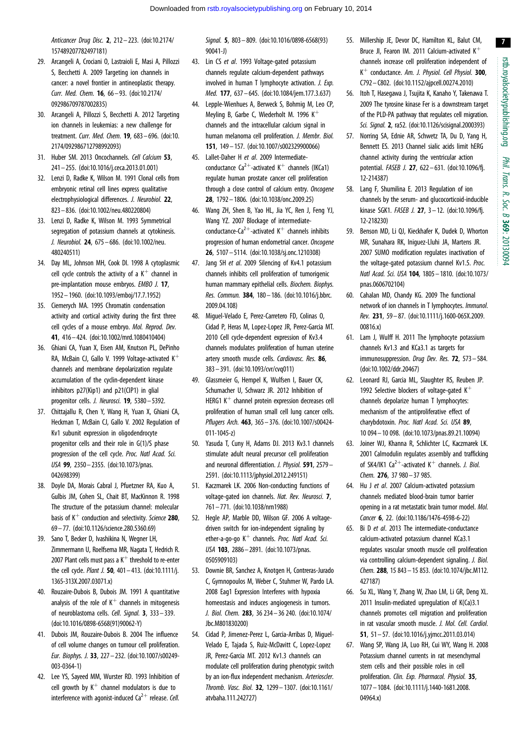<span id="page-7-0"></span>Anticancer Drug Disc. 2, 212– 223. [\(doi:10.2174/](http://dx.doi.org/10.2174/157489207782497181) [157489207782497181\)](http://dx.doi.org/10.2174/157489207782497181)

- 29. Arcangeli A, Crociani O, Lastraioli E, Masi A, Pillozzi S, Becchetti A. 2009 Targeting ion channels in cancer: a novel frontier in antineoplastic therapy. Curr. Med. Chem. 16, 66 – 93. ([doi:10.2174/](http://dx.doi.org/10.2174/092986709787002835) [092986709787002835\)](http://dx.doi.org/10.2174/092986709787002835)
- 30. Arcangeli A, Pillozzi S, Becchetti A. 2012 Targeting ion channels in leukemias: a new challenge for treatment. Curr. Med. Chem. 19, 683– 696. ([doi:10.](http://dx.doi.org/10.2174/092986712798992093) [2174/092986712798992093\)](http://dx.doi.org/10.2174/092986712798992093)
- 31. Huber SM. 2013 Oncochannels. Cell Calcium 53, 241– 255. ([doi:10.1016/j.ceca.2013.01.001\)](http://dx.doi.org/10.1016/j.ceca.2013.01.001)
- 32. Lenzi D, Radke K, Wilson M. 1991 Clonal cells from embryonic retinal cell lines express qualitative electrophysiological differences. J. Neurobiol. 22, 823– 836. ([doi:10.1002/neu.480220804](http://dx.doi.org/10.1002/neu.480220804))
- 33. Lenzi D, Radke K, Wilson M. 1993 Symmetrical segregation of potassium channels at cytokinesis. J. Neurobiol. 24, 675 – 686. [\(doi:10.1002/neu.](http://dx.doi.org/10.1002/neu.480240511) [480240511](http://dx.doi.org/10.1002/neu.480240511))
- 34. Day ML, Johnson MH, Cook DI. 1998 A cytoplasmic cell cycle controls the activity of a  $K^+$  channel in pre-implantation mouse embryos. EMBO J. 17, 1952 – 1960. [\(doi:10.1093/emboj/17.7.1952\)](http://dx.doi.org/10.1093/emboj/17.7.1952)
- 35. Ciemerych MA. 1995 Chromatin condensation activity and cortical activity during the first three cell cycles of a mouse embryo. Mol. Reprod. Dev. 41, 416– 424. ([doi:10.1002/mrd.1080410404\)](http://dx.doi.org/10.1002/mrd.1080410404)
- 36. Ghiani CA, Yuan X, Eisen AM, Knutson PL, DePinho RA, McBain CJ, Gallo V. 1999 Voltage-activated  $K^+$ channels and membrane depolarization regulate accumulation of the cyclin-dependent kinase inhibitors p27(Kip1) and p21(CIP1) in glial progenitor cells. J. Neurosci. **19**, 5380 - 5392.
- 37. Chittajallu R, Chen Y, Wang H, Yuan X, Ghiani CA, Heckman T, McBain CJ, Gallo V. 2002 Regulation of Kv1 subunit expression in oligodendrocyte progenitor cells and their role in G(1)/S phase progression of the cell cycle. Proc. Natl Acad. Sci. USA 99, 2350 – 2355. [\(doi:10.1073/pnas.](http://dx.doi.org/10.1073/pnas.042698399) [042698399](http://dx.doi.org/10.1073/pnas.042698399))
- 38. Doyle DA, Morais Cabral J, Pfuetzner RA, Kuo A, Gulbis JM, Cohen SL, Chait BT, MacKinnon R. 1998 The structure of the potassium channel: molecular basis of  $K^+$  conduction and selectivity. Science 280, 69 – 77. ([doi:10.1126/science.280.5360.69](http://dx.doi.org/10.1126/science.280.5360.69))
- 39. Sano T, Becker D, Ivashikina N, Wegner LH, Zimmermann U, Roelfsema MR, Nagata T, Hedrich R. 2007 Plant cells must pass a  $K^+$  threshold to re-enter the cell cycle. Plant J. 50, 401–413. [\(doi:10.1111/j.](http://dx.doi.org/10.1111/j.1365-313X.2007.03071.x) [1365-313X.2007.03071.x](http://dx.doi.org/10.1111/j.1365-313X.2007.03071.x))
- 40. Rouzaire-Dubois B, Dubois JM. 1991 A quantitative analysis of the role of  $K^+$  channels in mitogenesis of neuroblastoma cells. Cell. Signal. 3, 333– 339. [\(doi:10.1016/0898-6568\(91\)90062-Y](http://dx.doi.org/10.1016/0898-6568(91)90062-Y))
- 41. Dubois JM, Rouzaire-Dubois B. 2004 The influence of cell volume changes on tumour cell proliferation. Eur. Biophys. J. 33, 227 – 232. ([doi:10.1007/s00249-](http://dx.doi.org/10.1007/s00249-003-0364-1) [003-0364-1\)](http://dx.doi.org/10.1007/s00249-003-0364-1)
- 42. Lee YS, Sayeed MM, Wurster RD. 1993 Inhibition of cell growth by  $K^+$  channel modulators is due to interference with agonist-induced  $Ca^{2+}$  release. Cell.

Signal. 5, 803– 809. ([doi:10.1016/0898-6568\(93\)](http://dx.doi.org/10.1016/0898-6568(93)90041-J) [90041-J\)](http://dx.doi.org/10.1016/0898-6568(93)90041-J)

- 43. Lin CS et al. 1993 Voltage-gated potassium channels regulate calcium-dependent pathways involved in human T lymphocyte activation. J. Exp. Med. 177, 637– 645. ([doi:10.1084/jem.177.3.637](http://dx.doi.org/10.1084/jem.177.3.637))
- 44. Lepple-Wienhues A, Berweck S, Bohmig M, Leo CP, Meyling B, Garbe C, Wiederholt M. 1996  $K^+$ channels and the intracellular calcium signal in human melanoma cell proliferation. J. Membr. Biol. 151, 149 – 157. [\(doi:10.1007/s002329900066\)](http://dx.doi.org/10.1007/s002329900066)
- 45. Lallet-Daher H et al. 2009 Intermediateconductance Ca<sup>2+</sup>-activated K<sup>+</sup> channels (IKCa1) regulate human prostate cancer cell proliferation through a close control of calcium entry. Oncogene 28, 1792 – 1806. [\(doi:10.1038/onc.2009.25](http://dx.doi.org/10.1038/onc.2009.25))
- 46. Wang ZH, Shen B, Yao HL, Jia YC, Ren J, Feng YJ, Wang YZ. 2007 Blockage of intermediateconductance-Ca<sup>2+</sup>-activated K<sup>+</sup> channels inhibits progression of human endometrial cancer. Oncogene 26, 5107 – 5114. [\(doi:10.1038/sj.onc.1210308\)](http://dx.doi.org/10.1038/sj.onc.1210308)
- 47. Jang SH et al. 2009 Silencing of Kv4.1 potassium channels inhibits cell proliferation of tumorigenic human mammary epithelial cells. Biochem. Biophys. Res. Commun. 384, 180– 186. [\(doi:10.1016/j.bbrc.](http://dx.doi.org/10.1016/j.bbrc.2009.04.108) [2009.04.108\)](http://dx.doi.org/10.1016/j.bbrc.2009.04.108)
- 48. Miguel-Velado E, Perez-Carretero FD, Colinas O, Cidad P, Heras M, Lopez-Lopez JR, Perez-Garcia MT. 2010 Cell cycle-dependent expression of Kv3.4 channels modulates proliferation of human uterine artery smooth muscle cells. Cardiovasc. Res. 86, 383 – 391. [\(doi:10.1093/cvr/cvq011\)](http://dx.doi.org/10.1093/cvr/cvq011)
- 49. Glassmeier G, Hempel K, Wulfsen I, Bauer CK, Schumacher U, Schwarz JR. 2012 Inhibition of HERG1  $K^+$  channel protein expression decreases cell proliferation of human small cell lung cancer cells. Pflugers Arch. 463, 365– 376. ([doi:10.1007/s00424-](http://dx.doi.org/10.1007/s00424-011-1045-z) [011-1045-z](http://dx.doi.org/10.1007/s00424-011-1045-z))
- 50. Yasuda T, Cuny H, Adams DJ. 2013 Kv3.1 channels stimulate adult neural precursor cell proliferation and neuronal differentiation. J. Physiol. 591, 2579-2591. [\(doi:10.1113/jphysiol.2012.249151\)](http://dx.doi.org/10.1113/jphysiol.2012.249151)
- 51. Kaczmarek LK. 2006 Non-conducting functions of voltage-gated ion channels. Nat. Rev. Neurosci. 7, 761 – 771. [\(doi:10.1038/nrn1988\)](http://dx.doi.org/10.1038/nrn1988)
- 52. Hegle AP, Marble DD, Wilson GF. 2006 A voltagedriven switch for ion-independent signaling by ether-a-go-go  $K^+$  channels. Proc. Natl Acad. Sci. USA 103, 2886– 2891. ([doi:10.1073/pnas.](http://dx.doi.org/10.1073/pnas.0505909103) [0505909103\)](http://dx.doi.org/10.1073/pnas.0505909103)
- 53. Downie BR, Sanchez A, Knotgen H, Contreras-Jurado C, Gymnopoulos M, Weber C, Stuhmer W, Pardo LA. 2008 Eag1 Expression Interferes with hypoxia homeostasis and induces angiogenesis in tumors. J. Biol. Chem. 283, 36 234– 36 240. ([doi:10.1074/](http://dx.doi.org/10.1074/Jbc.M801830200) [Jbc.M801830200\)](http://dx.doi.org/10.1074/Jbc.M801830200)
- 54. Cidad P, Jimenez-Perez L, Garcia-Arribas D, Miguel-Velado E, Tajada S, Ruiz-McDavitt C, Lopez-Lopez JR, Perez-Garcia MT. 2012 Kv1.3 channels can modulate cell proliferation during phenotypic switch by an ion-flux independent mechanism. Arterioscler. Thromb. Vasc. Biol. 32, 1299– 1307. ([doi:10.1161/](http://dx.doi.org/10.1161/atvbaha.111.242727) [atvbaha.111.242727](http://dx.doi.org/10.1161/atvbaha.111.242727))
- 55. Millership JE, Devor DC, Hamilton KL, Balut CM, Bruce JI, Fearon IM. 2011 Calcium-activated  $K^+$ channels increase cell proliferation independent of K<sup>+</sup> conductance. Am. J. Physiol. Cell Physiol. 300, C792– C802. ([doi:10.1152/ajpcell.00274.2010\)](http://dx.doi.org/10.1152/ajpcell.00274.2010)
- 56. Itoh T, Hasegawa J, Tsujita K, Kanaho Y, Takenawa T. 2009 The tyrosine kinase Fer is a downstream target of the PLD-PA pathway that regulates cell migration. Sci. Signal. 2, ra52. [\(doi:10.1126/scisignal.2000393\)](http://dx.doi.org/10.1126/scisignal.2000393)
- 57. Norring SA, Ednie AR, Schwetz TA, Du D, Yang H, Bennett ES. 2013 Channel sialic acids limit hERG channel activity during the ventricular action potential. FASEB J. 27, 622 – 631. ([doi:10.1096/fj.](http://dx.doi.org/10.1096/fj.12-214387) [12-214387](http://dx.doi.org/10.1096/fj.12-214387))
- 58. Lang F, Shumilina E. 2013 Regulation of ion channels by the serum- and glucocorticoid-inducible kinase SGK1. FASEB J. 27, 3-12. (doi:10.1096/fi. [12-218230](http://dx.doi.org/10.1096/fj.12-218230))
- 59. Benson MD, Li QJ, Kieckhafer K, Dudek D, Whorton MR, Sunahara RK, Iniguez-Lluhi JA, Martens JR. 2007 SUMO modification regulates inactivation of the voltage-gated potassium channel Kv1.5. Proc. Natl Acad. Sci. USA 104, 1805 – 1810. [\(doi:10.1073/](http://dx.doi.org/10.1073/pnas.0606702104) [pnas.0606702104\)](http://dx.doi.org/10.1073/pnas.0606702104)
- 60. Cahalan MD, Chandy KG. 2009 The functional network of ion channels in T lymphocytes. Immunol. Rev. 231, 59 – 87. [\(doi:10.1111/j.1600-065X.2009.](http://dx.doi.org/10.1111/j.1600-065X.2009.00816.x) [00816.x](http://dx.doi.org/10.1111/j.1600-065X.2009.00816.x))
- 61. Lam J, Wulff H. 2011 The lymphocyte potassium channels Kv1.3 and KCa3.1 as targets for immunosuppression. Drug Dev. Res. **72**, 573 – 584. ([doi:10.1002/ddr.20467](http://dx.doi.org/10.1002/ddr.20467))
- 62. Leonard RJ, Garcia ML, Slaughter RS, Reuben JP. 1992 Selective blockers of voltage-gated  $K^+$ channels depolarize human T lymphocytes: mechanism of the antiproliferative effect of charybdotoxin. Proc. Natl Acad. Sci. USA 89, 10 094 – 10 098. [\(doi:10.1073/pnas.89.21.10094](http://dx.doi.org/10.1073/pnas.89.21.10094))
- 63. Joiner WJ, Khanna R, Schlichter LC, Kaczmarek LK. 2001 Calmodulin regulates assembly and trafficking of SK4/IK1 Ca<sup>2+</sup>-activated K<sup>+</sup> channels. J. Biol. Chem. 276, 37 980– 37 985.
- 64. Hu J et al. 2007 Calcium-activated potassium channels mediated blood-brain tumor barrier opening in a rat metastatic brain tumor model. Mol. Cancer 6, 22. ([doi:10.1186/1476-4598-6-22\)](http://dx.doi.org/10.1186/1476-4598-6-22)
- 65. Bi D et al. 2013 The intermediate-conductance calcium-activated potassium channel KCa3.1 regulates vascular smooth muscle cell proliferation via controlling calcium-dependent signaling. J. Biol. Chem. 288, 15 843– 15 853. [\(doi:10.1074/jbc.M112.](http://dx.doi.org/10.1074/jbc.M112.427187) [427187\)](http://dx.doi.org/10.1074/jbc.M112.427187)
- 66. Su XL, Wang Y, Zhang W, Zhao LM, Li GR, Deng XL. 2011 Insulin-mediated upregulation of K(Ca)3.1 channels promotes cell migration and proliferation in rat vascular smooth muscle. J. Mol. Cell. Cardiol. 51, 51 – 57. ([doi:10.1016/j.yjmcc.2011.03.014\)](http://dx.doi.org/10.1016/j.yjmcc.2011.03.014)
- 67. Wang SP, Wang JA, Luo RH, Cui WY, Wang H. 2008 Potassium channel currents in rat mesenchymal stem cells and their possible roles in cell proliferation. Clin. Exp. Pharmacol. Physiol. 35, 1077– 1084. ([doi:10.1111/j.1440-1681.2008.](http://dx.doi.org/10.1111/j.1440-1681.2008.04964.x) [04964.x](http://dx.doi.org/10.1111/j.1440-1681.2008.04964.x))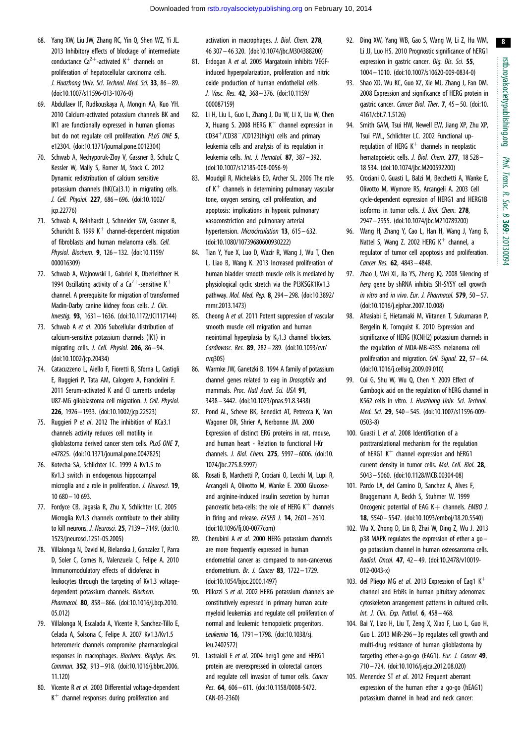- <span id="page-8-0"></span>68. Yang XW, Liu JW, Zhang RC, Yin Q, Shen WZ, Yi JL. 2013 Inhibitory effects of blockage of intermediate conductance Ca<sup>2+</sup>-activated K<sup>+</sup> channels on proliferation of hepatocellular carcinoma cells. J. Huazhong Univ. Sci. Technol. Med. Sci. 33, 86– 89. [\(doi:10.1007/s11596-013-1076-0\)](http://dx.doi.org/10.1007/s11596-013-1076-0)
- 69. Abdullaev IF, Rudkouskaya A, Mongin AA, Kuo YH. 2010 Calcium-activated potassium channels BK and IK1 are functionally expressed in human gliomas but do not regulate cell proliferation. PLoS ONE 5, e12304. [\(doi:10.1371/journal.pone.0012304](http://dx.doi.org/10.1371/journal.pone.0012304))
- 70. Schwab A, Nechyporuk-Zloy V, Gassner B, Schulz C, Kessler W, Mally S, Romer M, Stock C. 2012 Dynamic redistribution of calcium sensitive potassium channels (hK(Ca)3.1) in migrating cells. J. Cell. Physiol. 227, 686– 696. ([doi:10.1002/](http://dx.doi.org/10.1002/jcp.22776) [jcp.22776\)](http://dx.doi.org/10.1002/jcp.22776)
- 71. Schwab A, Reinhardt J, Schneider SW, Gassner B, Schuricht B. 1999 K<sup>+</sup> channel-dependent migration of fibroblasts and human melanoma cells. Cell. Physiol. Biochem. 9, 126– 132. ([doi:10.1159/](http://dx.doi.org/10.1159/000016309) [000016309](http://dx.doi.org/10.1159/000016309))
- 72. Schwab A, Wojnowski L, Gabriel K, Oberleithner H. 1994 Oscillating activity of a Ca<sup>2+</sup>-sensitive K<sup>+</sup> channel. A prerequisite for migration of transformed Madin-Darby canine kidney focus cells. J. Clin. Investig. 93, 1631– 1636. ([doi:10.1172/JCI117144\)](http://dx.doi.org/10.1172/JCI117144)
- 73. Schwab A et al. 2006 Subcellular distribution of calcium-sensitive potassium channels (IK1) in migrating cells. J. Cell. Physiol. 206, 86-94. [\(doi:10.1002/jcp.20434](http://dx.doi.org/10.1002/jcp.20434))
- 74. Catacuzzeno L, Aiello F, Fioretti B, Sforna L, Castigli E, Ruggieri P, Tata AM, Calogero A, Franciolini F. 2011 Serum-activated K and Cl currents underlay U87-MG glioblastoma cell migration. J. Cell. Physiol. 226, 1926– 1933. [\(doi:10.1002/jcp.22523](http://dx.doi.org/10.1002/jcp.22523))
- 75. Ruggieri P et al. 2012 The inhibition of KCa3.1 channels activity reduces cell motility in glioblastoma derived cancer stem cells. PLoS ONE 7, e47825. [\(doi:10.1371/journal.pone.0047825](http://dx.doi.org/10.1371/journal.pone.0047825))
- 76. Kotecha SA, Schlichter LC. 1999 A Kv1.5 to Kv1.3 switch in endogenous hippocampal microglia and a role in proliferation. J. Neurosci. 19, 10 680– 10 693.
- 77. Fordyce CB, Jagasia R, Zhu X, Schlichter LC. 2005 Microglia Kv1.3 channels contribute to their ability to kill neurons. J. Neurosci. 25, 7139– 7149. ([doi:10.](http://dx.doi.org/10.1523/jneurosci.1251-05.2005) [1523/jneurosci.1251-05.2005\)](http://dx.doi.org/10.1523/jneurosci.1251-05.2005)
- 78. Villalonga N, David M, Bielanska J, Gonzalez T, Parra D, Soler C, Comes N, Valenzuela C, Felipe A. 2010 Immunomodulatory effects of diclofenac in leukocytes through the targeting of Kv1.3 voltagedependent potassium channels. Biochem. Pharmacol. 80, 858-866. ([doi:10.1016/j.bcp.2010.](http://dx.doi.org/10.1016/j.bcp.2010.05.012) [05.012\)](http://dx.doi.org/10.1016/j.bcp.2010.05.012)
- 79. Villalonga N, Escalada A, Vicente R, Sanchez-Tillo E, Celada A, Solsona C, Felipe A. 2007 Kv1.3/Kv1.5 heteromeric channels compromise pharmacological responses in macrophages. Biochem. Biophys. Res. Commun. 352, 913– 918. ([doi:10.1016/j.bbrc.2006.](http://dx.doi.org/10.1016/j.bbrc.2006.11.120) [11.120\)](http://dx.doi.org/10.1016/j.bbrc.2006.11.120)
- 80. Vicente R et al. 2003 Differential voltage-dependent  $K^+$  channel responses during proliferation and

activation in macrophages. J. Biol. Chem. 278, 46 307– 46 320. [\(doi:10.1074/jbc.M304388200](http://dx.doi.org/10.1074/jbc.M304388200))

- 81. Erdogan A et al. 2005 Margatoxin inhibits VEGFinduced hyperpolarization, proliferation and nitric oxide production of human endothelial cells. J. Vasc. Res. 42, 368– 376. ([doi:10.1159/](http://dx.doi.org/10.1159/000087159) [000087159](http://dx.doi.org/10.1159/000087159))
- 82. Li H, Liu L, Guo L, Zhang J, Du W, Li X, Liu W, Chen X, Huang S. 2008 HERG  $K^+$  channel expression in  $CD34<sup>+</sup>/CD38<sup>-</sup>/CD123(high)$  cells and primary leukemia cells and analysis of its regulation in leukemia cells. Int. J. Hematol. 87, 387– 392. [\(doi:10.1007/s12185-008-0056-9](http://dx.doi.org/10.1007/s12185-008-0056-9))
- 83. Moudgil R, Michelakis ED, Archer SL. 2006 The role of  $K^+$  channels in determining pulmonary vascular tone, oxygen sensing, cell proliferation, and apoptosis: implications in hypoxic pulmonary vasoconstriction and pulmonary arterial hypertension. Microcirculation 13, 615-632. [\(doi:10.1080/10739680600930222](http://dx.doi.org/10.1080/10739680600930222))
- 84. Tian Y, Yue X, Luo D, Wazir R, Wang J, Wu T, Chen L, Liao B, Wang K. 2013 Increased proliferation of human bladder smooth muscle cells is mediated by physiological cyclic stretch via the PI3KSGK1Kv1.3 pathway. Mol. Med. Rep. 8, 294– 298. [\(doi:10.3892/](http://dx.doi.org/10.3892/mmr.2013.1473) [mmr.2013.1473](http://dx.doi.org/10.3892/mmr.2013.1473))
- 85. Cheong A et al. 2011 Potent suppression of vascular smooth muscle cell migration and human neointimal hyperplasia by  $K_v1.3$  channel blockers. Cardiovasc. Res. 89, 282 – 289. [\(doi:10.1093/cvr/](http://dx.doi.org/10.1093/cvr/cvq305) [cvq305](http://dx.doi.org/10.1093/cvr/cvq305))
- 86. Warmke JW, Ganetzki B. 1994 A family of potassium channel genes related to eag in Drosophila and mammals. Proc. Natl Acad. Sci. USA 91. 3438– 3442. [\(doi:10.1073/pnas.91.8.3438](http://dx.doi.org/10.1073/pnas.91.8.3438))
- 87. Pond AL, Scheve BK, Benedict AT, Petrecca K, Van Wagoner DR, Shrier A, Nerbonne JM. 2000 Expression of distinct ERG proteins in rat, mouse, and human heart - Relation to functional I-Kr channels. J. Biol. Chem. 275, 5997– 6006. ([doi:10.](http://dx.doi.org/10.1074/jbc.275.8.5997) [1074/jbc.275.8.5997\)](http://dx.doi.org/10.1074/jbc.275.8.5997)
- 88. Rosati B, Marchetti P, Crociani O, Lecchi M, Lupi R, Arcangeli A, Olivotto M, Wanke E. 2000 Glucoseand arginine-induced insulin secretion by human pancreatic beta-cells: the role of HERG  $K^+$  channels in firing and release.  $FASEB$  J. **14**,  $2601 - 2610$ . [\(doi:10.1096/fj.00-0077com](http://dx.doi.org/10.1096/fj.00-0077com))
- 89. Cherubini A et al. 2000 HERG potassium channels are more frequently expressed in human endometrial cancer as compared to non-cancerous endometrium. Br. J. Cancer 83, 1722– 1729. [\(doi:10.1054/bjoc.2000.1497](http://dx.doi.org/10.1054/bjoc.2000.1497))
- 90. Pillozzi S et al. 2002 HERG potassium channels are constitutively expressed in primary human acute myeloid leukemias and regulate cell proliferation of normal and leukemic hemopoietic progenitors. Leukemia 16, 1791 – 1798. ([doi:10.1038/sj.](http://dx.doi.org/10.1038/sj.leu.2402572) [leu.2402572\)](http://dx.doi.org/10.1038/sj.leu.2402572)
- 91. Lastraioli E et al. 2004 herg1 gene and HERG1 protein are overexpressed in colorectal cancers and regulate cell invasion of tumor cells. Cancer Res. 64, 606– 611. [\(doi:10.1158/0008-5472.](http://dx.doi.org/10.1158/0008-5472.CAN-03-2360) [CAN-03-2360](http://dx.doi.org/10.1158/0008-5472.CAN-03-2360))
- 92. Ding XW, Yang WB, Gao S, Wang W, Li Z, Hu WM, Li JJ, Luo HS. 2010 Prognostic significance of hERG1 expression in gastric cancer. Dig. Dis. Sci. 55, 1004– 1010. ([doi:10.1007/s10620-009-0834-0](http://dx.doi.org/10.1007/s10620-009-0834-0))
- 93. Shao XD, Wu KC, Guo XZ, Xie MJ, Zhang J, Fan DM. 2008 Expression and significance of HERG protein in gastric cancer. Cancer Biol. Ther. 7, 45– 50. [\(doi:10.](http://dx.doi.org/10.4161/cbt.7.1.5126) [4161/cbt.7.1.5126](http://dx.doi.org/10.4161/cbt.7.1.5126))
- 94. Smith GAM, Tsui HW, Newell EW, Jiang XP, Zhu XP, Tsui FWL, Schlichter LC. 2002 Functional upregulation of HERG  $K^+$  channels in neoplastic hematopoietic cells. J. Biol. Chem. 277, 18 528-18 534. [\(doi:10.1074/jbc.M200592200](http://dx.doi.org/10.1074/jbc.M200592200))
- 95. Crociani O, Guasti L, Balzi M, Becchetti A, Wanke E, Olivotto M, Wymore RS, Arcangeli A. 2003 Cell cycle-dependent expression of HERG1 and HERG1B isoforms in tumor cells. J. Biol. Chem. 278, 2947– 2955. ([doi:10.1074/jbc.M210789200\)](http://dx.doi.org/10.1074/jbc.M210789200)
- 96. Wang H, Zhang Y, Cao L, Han H, Wang J, Yang B, Nattel S, Wang Z. 2002 HERG  $K^+$  channel, a regulator of tumor cell apoptosis and proliferation. Cancer Res. 62, 4843 – 4848.
- 97. Zhao J, Wei XL, Jia YS, Zheng JQ. 2008 Silencing of herg gene by shRNA inhibits SH-SY5Y cell growth in vitro and in vivo. Eur. J. Pharmacol.  $579$ ,  $50 - 57$ . ([doi:10.1016/j.ejphar.2007.10.008\)](http://dx.doi.org/10.1016/j.ejphar.2007.10.008)
- 98. Afrasiabi E, Hietamaki M, Viitanen T, Sukumaran P, Bergelin N, Tornquist K. 2010 Expression and significance of HERG (KCNH2) potassium channels in the regulation of MDA-MB-435S melanoma cell proliferation and migration. Cell. Signal. 22, 57 - 64. ([doi:10.1016/j.cellsig.2009.09.010](http://dx.doi.org/10.1016/j.cellsig.2009.09.010))
- 99. Cui G, Shu W, Wu Q, Chen Y. 2009 Effect of Gambogic acid on the regulation of hERG channel in K562 cells in vitro. J. Huazhong Univ. Sci. Technol. Med. Sci. 29, 540 – 545. [\(doi:10.1007/s11596-009-](http://dx.doi.org/10.1007/s11596-009-0503-8) [0503-8](http://dx.doi.org/10.1007/s11596-009-0503-8))
- 100. Guasti L et al. 2008 Identification of a posttranslational mechanism for the regulation of hERG1  $K^+$  channel expression and hERG1 current density in tumor cells. Mol. Cell. Biol. 28, 5043– 5060. ([doi:10.1128/MCB.00304-08](http://dx.doi.org/10.1128/MCB.00304-08))
- 101. Pardo LA, del Camino D, Sanchez A, Alves F, Bruggemann A, Beckh S, Stuhmer W. 1999 Oncogenic potential of EAG  $K+$  channels. EMBO J. 18, 5540– 5547. [\(doi:10.1093/emboj/18.20.5540\)](http://dx.doi.org/10.1093/emboj/18.20.5540)
- 102. Wu X, Zhong D, Lin B, Zhai W, Ding Z, Wu J. 2013 p38 MAPK requilates the expression of ether a  $q_0$ go potassium channel in human osteosarcoma cells. Radiol. Oncol. 47, 42– 49. ([doi:10.2478/v10019-](http://dx.doi.org/10.2478/v10019-012-0043-x) [012-0043-x](http://dx.doi.org/10.2478/v10019-012-0043-x))
- 103. del Pliego MG et al. 2013 Expression of Eag1  $K^+$ channel and ErbBs in human pituitary adenomas: cytoskeleton arrangement patterns in cultured cells. Int. J. Clin. Exp. Pathol. 6, 458 – 468.
- 104. Bai Y, Liao H, Liu T, Zeng X, Xiao F, Luo L, Guo H, Guo L. 2013 MiR-296– 3p regulates cell growth and multi-drug resistance of human glioblastoma by targeting ether-a-go-go (EAG1). Eur. J. Cancer 49, 710– 724. [\(doi:10.1016/j.ejca.2012.08.020](http://dx.doi.org/10.1016/j.ejca.2012.08.020))
- 105. Menendez ST et al. 2012 Frequent aberrant expression of the human ether a go-go (hEAG1) potassium channel in head and neck cancer: